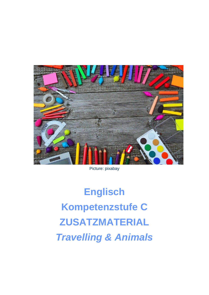

Picture: pixabay

**Englisch** Kompetenzstufe C **ZUSATZMATERIAL Travelling & Animals**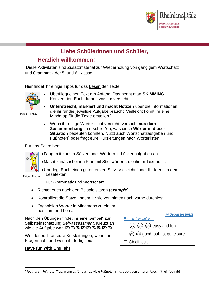

# **Liebe Schülerinnen und Schüler,**

## **Herzlich willkommen!**

Diese Aktivitäten sind Zusatzmaterial zur Wiederholung von gängigem Wortschatz und Grammatik der 5. und 6. Klasse.

Hier findet ihr einige Tipps für das Lesen der Texte:



Picture: Pixabay

- Überfliegt einen Text am Anfang. Das nennt man **SKIMMING**. Konzentriert Euch darauf, was ihr versteht.
	- **Unterstreicht, markiert und macht Notizen** über die Informationen, die ihr für die jeweilige Aufgabe braucht. Vielleicht könnt ihr eine Mindmap für die Texte erstellen?
- Wenn ihr einige Wörter nicht versteht, versucht **aus dem Zusammenhang** zu erschließen, was diese **Wörter in dieser Situation** bedeuten könnten. Nutzt auch Wortschatzaufgaben und Fußnoten<sup>1</sup> oder fragt eure Kursleitungen nach Wörterlisten.

### Für das Schreiben:



- •Fangt mit kurzen Sätzen oder Wörtern in Lückenaufgaben an.
- •Macht zunächst einen Plan mit Stichwörtern, die ihr im Text nutzt.
- •Überlegt Euch einen guten ersten Satz. Vielleicht findet Ihr Ideen in den Lesetexten.

Picture: Pixabay

 $\overline{\phantom{a}}$ 

### Für Grammatik und Wortschatz:

- Richtet euch nach den Beispielsätzen (*example*).
- Kontrolliert die Sätze, indem ihr sie von hinten nach vorne durchlest.
- Organisiert Wörter in Mindmaps zu einem bestimmten Thema.

Nach den Übungen findet ihr eine "Ampel" zur Selbsteinschätzung *Self-assessment*. Kreuzt an wie die Aufgabe war. EXEXEXEXEXEXEX

Wendet euch an eure Kursleitungen, wenn ihr Fragen habt und wenn ihr fertig seid.

### **Have fun with English!**

| $\rightarrow$ Self-assessment                          |
|--------------------------------------------------------|
| For me, this task is                                   |
| $\square$ $\odot$ $\odot$ $\odot$ $\odot$ easy and fun |
| $\square$ $\odot$ $\odot$ good, but not quite sure     |
| $\square \otimes$ difficult                            |

<sup>1</sup> *footnote* = Fußnote. Tipp: wenn es für euch zu viele Fußnoten sind, deckt den unteren Abschnitt einfach ab!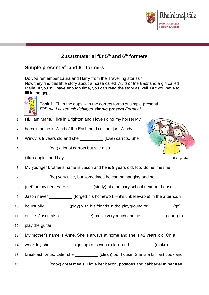

Foto: pixabay

## **Zusatzmaterial für 5th and 6th formers**

### **Simple present 5th and 6th formers**

Do you remember Laura and Harry from the Travelling stories? Now they find this little story about a horse called *Wind of the East* and a girl called Maria. If you still have enough time, you can read the story as well. But you have to fill in the gaps!



**Task 1.** Fill in the gaps with the correct forms of simple present! *Füllt die Lücken mit richtigen simple present Formen!*

- 1 Hi, I am Maria. I live in Brighton and I love riding my horse! My
- 2 horse's name is Wind of the East, but I call her just Windy.
- 3 Windy is 9 years old and she \_\_\_\_\_\_\_\_\_\_ (love) carrots. She
- 4 \_\_\_\_\_\_\_\_\_\_ (eat) a lot of carrots but she also \_\_\_\_\_\_\_\_\_\_
- 5 (like) apples and hay.
- 6 My younger brother's name is Jason and he is 9 years old, too. Sometimes he
- 7 \_\_\_\_\_\_\_\_\_\_ (be) very nice, but sometimes he can be naughty and he \_\_\_\_\_\_\_\_\_\_
- 8 (get) on my nerves. He \_\_\_\_\_\_\_\_\_\_ (study) at a primary school near our house.
- 9 Jason never \_\_\_\_\_\_\_\_\_\_ (forget) his homework it's unbelievable! In the afternoon
- 10 he usually \_\_\_\_\_\_\_\_\_\_ (play) with his friends in the playground or \_\_\_\_\_\_\_\_\_\_ (go)
- 11 online. Jason also \_\_\_\_\_\_\_\_\_\_ (like) music very much and he \_\_\_\_\_\_\_\_\_\_ (learn) to
- 12 play the guitar.
- 13 My mother's name is Anne. She is always at home and she is 42 years old. On a
- 14 weekday she **configure (get up) at seven o'clock and configure (make)**
- 15 breakfast for us. Later she \_\_\_\_\_\_\_\_\_\_\_ (clean) our house. She is a brilliant cook and
- 16 \_\_\_\_\_\_\_\_\_\_ (cook) great meals. I love her bacon, potatoes and cabbage! In her free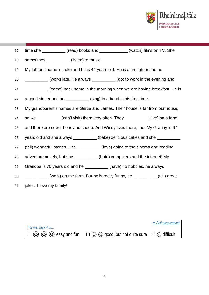

| 17 |                          | time she ____________ (read) books and _____________ (watch) films on TV. She     |  |  |
|----|--------------------------|-----------------------------------------------------------------------------------|--|--|
| 18 |                          | sometimes _____________(listen) to music.                                         |  |  |
| 19 |                          | My father's name is Luke and he is 44 years old. He is a firefighter and he       |  |  |
| 20 |                          | ___________ (work) late. He always __________ (go) to work in the evening and     |  |  |
| 21 |                          | (come) back home in the morning when we are having breakfast. He is               |  |  |
| 22 |                          | a good singer and he ___________ (sing) in a band in his free time.               |  |  |
| 23 |                          | My grandparent's names are Gertie and James. Their house is far from our house,   |  |  |
| 24 |                          | so we __________ (can't visit) them very often. They __________ (live) on a farm  |  |  |
| 25 |                          | and there are cows, hens and sheep. And Windy lives there, too! My Granny is 67   |  |  |
| 26 |                          | years old and she always ___________ (bake) delicious cakes and she ___________   |  |  |
| 27 |                          | (tell) wonderful stories. She ___________(love) going to the cinema and reading   |  |  |
| 28 |                          | adventure novels, but she ____________ (hate) computers and the internet! My      |  |  |
| 29 |                          | Grandpa is 70 years old and he ____________ (have) no hobbies, he always          |  |  |
| 30 |                          | __________ (work) on the farm. But he is really funny, he __________ (tell) great |  |  |
| 31 | jokes. I love my family! |                                                                                   |  |  |

|                   |                                                                                                                              | $ightharpoonup$ Self-assessment |
|-------------------|------------------------------------------------------------------------------------------------------------------------------|---------------------------------|
| For me, task 4 is |                                                                                                                              |                                 |
|                   | $\Box$ $\odot$ $\odot$ $\odot$ $\odot$ easy and fun $\Box$ $\odot$ $\odot$ good, but not quite sure $\Box$ $\odot$ difficult |                                 |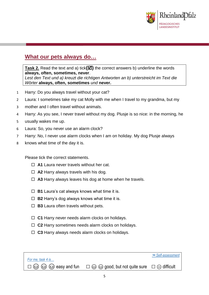

## **What our pets always do…**

**Task 2.** Read the text and a) tick $(\boxtimes)$  the correct answers b) underline the words **always, often, sometimes, never**. *Lest den Text und a) kreuzt die richtigen Antworten an b) unterstreicht im Text die Wörter* **always, often, sometimes** *und* **never.**

- 1 Harry: Do you always travel without your cat?
- 2 Laura: I sometimes take my cat Molly with me when I travel to my grandma, but my
- 3 mother and I often travel without animals.
- 4 Harry: As you see, I never travel without my dog. Plusje is so nice: in the morning, he
- 5 usually wakes me up.
- 6 Laura: So, you never use an alarm clock?
- 7 Harry: No, I never use alarm clocks when I am on holiday. My dog Plusje always
- 8 knows what time of the day it is.

Please tick the correct statements.

- **A1** Laura never travels without her cat.
- **A2** Harry always travels with his dog.
- **A3** Harry always leaves his dog at home when he travels.
- **B1** Laura's cat always knows what time it is.
- **B2** Harry's dog always knows what time it is.
- **B3** Laura often travels without pets.
- **C1** Harry never needs alarm clocks on holidays.
- **C2** Harry sometimes needs alarm clocks on holidays.
- **C3** Harry always needs alarm clocks on holidays.

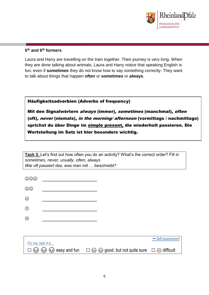

#### **5 th and 6th formers**

Laura and Harry are travelling on the train together. Their journey is very long. When they are done talking about animals, Laura and Harry notice that speaking English is fun, even if **sometimes** they do not know how to say something correctly. They want to talk about things that happen **often** or **sometimes** or **always**.

Häufigkeitsadverbien (Adverbs of frequency)

Mit den Signalwörtern always (immer), sometimes (manchmal), often (oft), never (niemals), in the morning/ afternoon (vormittags / nachmittags) sprichst du über Dinge im simple present, die wiederholt passieren. Die Wortstellung im Satz ist hier besonders wichtig.

**Task 3.** Let's find out how often you do an activity? What's the correct order? Fill in *sometimes, never, usually, often, always Wie oft passiert das, was man mit … beschreibt?*

| $\circledcirc\circ$ |        |                                                                                                                             |                               |
|---------------------|--------|-----------------------------------------------------------------------------------------------------------------------------|-------------------------------|
| $\odot\odot$        |        |                                                                                                                             |                               |
| $\odot$             |        |                                                                                                                             |                               |
| $\odot$             |        |                                                                                                                             |                               |
| ☺                   |        |                                                                                                                             |                               |
|                     |        |                                                                                                                             |                               |
| For me, task 4 is   |        |                                                                                                                             | $\rightarrow$ Self-assessment |
| (ಟಿ)                | (هَءَ) | $\circled{e}$ easy and fun $\square$ $\circled{e}$ $\circled{e}$ good, but not quite sure $\square$ $\circled{e}$ difficult |                               |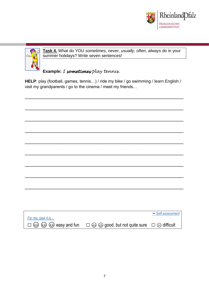



**Task 4.** What do YOU *sometimes, never, usually, often, always* do in your summer holidays? Write seven sentences!

**Example:** *I sometimes play tennis.*

**HELP**: play (football, games, tennis…) / ride my bike / go swimming / learn English / visit my grandparents / go to the cinema / meet my friends…

\_\_\_\_\_\_\_\_\_\_\_\_\_\_\_\_\_\_\_\_\_\_\_\_\_\_\_\_\_\_\_\_\_\_\_\_\_\_\_\_\_\_\_\_\_\_\_\_\_\_\_\_\_\_\_\_\_\_

|                   |                                                                                 | Self-assessment |
|-------------------|---------------------------------------------------------------------------------|-----------------|
| For me, task 4 is |                                                                                 |                 |
|                   | ⓒ ⓒ ⓒ easy and fun $\square$ ⓒ @ good, but not quite sure $\square$ ⓒ difficult |                 |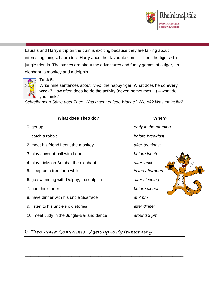

Laura's and Harry's trip on the train is exciting because they are talking about interesting things. Laura tells Harry about her favourite comic: Theo, the tiger & his jungle friends. The stories are about the adventures and funny games of a tiger, an elephant, a monkey and a dolphin.



### **Task 5.**

Write nine sentences about *Theo*, the happy tiger! What does he do **every week?** How often does he do the activity (never, sometimes…) – what do you think?

*Schreibt neun Sätze über Theo. Was macht er jede Woche? Wie oft? Was meint ihr?*

| What does Theo do? | When? |
|--------------------|-------|
|--------------------|-------|

- 0. get up *early in the morning*
- 
- 2. meet his friend Leon, the monkey *after breakfast*
- 3. play coconut-ball with Leon *before lunch*
- 4. play tricks on Bumba, the elephant *after lunch*
- 5. sleep on a tree for a while *in the afternoon*
- 6. go swimming with Dolphy, the dolphin *after sleeping*
- 7. hunt his dinner *before dinner*
- 8. have dinner with his uncle Scarface *at 7 pm*
- 9. listen to his uncle's old stories *after dinner*
- 10. meet Judy in the Jungle-Bar and dance *around 9 pm*

1. catch a rabbit *before breakfast*



## 0. *Theo never (sometimes…) gets up early in morning.*

\_\_\_\_\_\_\_\_\_\_\_\_\_\_\_\_\_\_\_\_\_\_\_\_\_\_\_\_\_\_\_\_\_\_\_\_\_\_\_\_\_\_\_\_\_\_\_\_\_\_\_\_\_\_\_\_\_\_

\_\_\_\_\_\_\_\_\_\_\_\_\_\_\_\_\_\_\_\_\_\_\_\_\_\_\_\_\_\_\_\_\_\_\_\_\_\_\_\_\_\_\_\_\_\_\_\_\_\_\_\_\_\_\_\_\_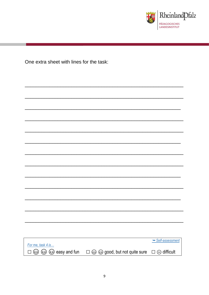

One extra sheet with lines for the task:

|                       |                                                    | Self-assessment           |
|-----------------------|----------------------------------------------------|---------------------------|
| For me, task 4 is     |                                                    |                           |
|                       |                                                    |                           |
| ☺<br>ⓒ ⓒ easy and fun | $\square$ $\odot$ $\odot$ good, but not quite sure | $\square \odot$ difficult |
|                       |                                                    |                           |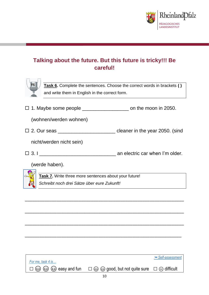

# **Talking about the future. But this future is tricky!!! Be careful!**



**Task 6.** Complete the sentences. Choose the correct words in brackets **( )** and write them in English in the correct form.

 $\Box$  1. Maybe some people \_\_\_\_\_\_\_\_\_\_\_\_\_\_\_\_\_\_\_\_\_ on the moon in 2050.

(wohnen/werden wohnen)

□ 2. Our seas \_\_\_\_\_\_\_\_\_\_\_\_\_\_\_\_\_\_\_\_\_\_\_\_\_\_ cleaner in the year 2050. (sind

nicht/werden nicht sein)

3. I \_\_\_\_\_\_\_\_\_\_\_\_\_\_\_\_\_\_\_\_\_\_\_\_\_\_\_\_ an electric car when I'm older.

\_\_\_\_\_\_\_\_\_\_\_\_\_\_\_\_\_\_\_\_\_\_\_\_\_\_\_\_\_\_\_\_\_\_\_\_\_\_\_\_\_\_\_\_\_\_\_\_\_\_\_\_\_\_\_\_\_\_\_\_\_\_\_\_\_

\_\_\_\_\_\_\_\_\_\_\_\_\_\_\_\_\_\_\_\_\_\_\_\_\_\_\_\_\_\_\_\_\_\_\_\_\_\_\_\_\_\_\_\_\_\_\_\_\_\_\_\_\_\_\_\_\_\_\_\_\_\_\_\_\_

\_\_\_\_\_\_\_\_\_\_\_\_\_\_\_\_\_\_\_\_\_\_\_\_\_\_\_\_\_\_\_\_\_\_\_\_\_\_\_\_\_\_\_\_\_\_\_\_\_\_\_\_\_\_\_\_\_\_\_\_\_\_\_\_\_

\_\_\_\_\_\_\_\_\_\_\_\_\_\_\_\_\_\_\_\_\_\_\_\_\_\_\_\_\_\_\_\_\_\_\_\_\_\_\_\_\_\_\_\_\_\_\_\_\_\_\_\_\_\_\_\_\_\_\_\_\_\_\_\_

(werde haben).

**Task 7.** Write three more sentences about your future! *Schreibt noch drei Sätze über eure Zukunft!*

|                                                        |                                                                                | $\rightarrow$ Self-assessment |
|--------------------------------------------------------|--------------------------------------------------------------------------------|-------------------------------|
| For me, task 4 is                                      |                                                                                |                               |
| $\square$ $\odot$ $\odot$ $\odot$ $\odot$ easy and fun | $\square$ $\odot$ $\odot$ good, but not quite sure $\square$ $\odot$ difficult |                               |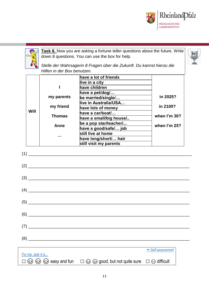



**Task 8.** Now you are asking a fortune teller questions about the future. Write down 8 questions. You can use the box for help.



*Stelle der Wahrsagerin 8 Fragen über die Zukunft. Du kannst hierzu die Hilfen in der Box benutzen.*

|      |               | have a lot of friends                 |              |
|------|---------------|---------------------------------------|--------------|
|      |               | live in a city ______________         |              |
|      |               | have children                         |              |
|      |               | have a pet/dog/                       |              |
|      | my parents    | be married/s <u>ingle/…__________</u> | in 2025?     |
|      |               | live in Australia/USA                 |              |
|      | my friend     | have lots of money <b>have less</b>   | in 2100?     |
| Will |               | have a car/boat/                      |              |
|      | <b>Thomas</b> | have a small/big house/               | when I'm 30? |
|      | Anne          | be a pop star/teacher/                | when I'm 25? |
|      |               | have a good/safe/ job                 |              |
|      |               | still live at home                    |              |
|      |               |                                       |              |
|      |               | have long/short/ hair                 |              |
|      |               | still visit my parents                |              |
|      |               |                                       |              |
|      |               |                                       |              |
|      |               |                                       |              |

| (8)               |                                                                                                                      |                                 |  |
|-------------------|----------------------------------------------------------------------------------------------------------------------|---------------------------------|--|
|                   |                                                                                                                      | $ightharpoonup$ Self-assessment |  |
| For me, task 4 is | $\Box$ $\odot$ $\odot$ $\odot$ easy and fun $\Box$ $\odot$ $\odot$ good, but not quite sure $\Box$ $\odot$ difficult |                                 |  |

(6) \_\_\_\_\_\_\_\_\_\_\_\_\_\_\_\_\_\_\_\_\_\_\_\_\_\_\_\_\_\_\_\_\_\_\_\_\_\_\_\_\_\_\_\_\_\_\_\_\_\_\_\_\_\_\_\_\_\_\_\_\_\_\_\_\_\_\_\_\_